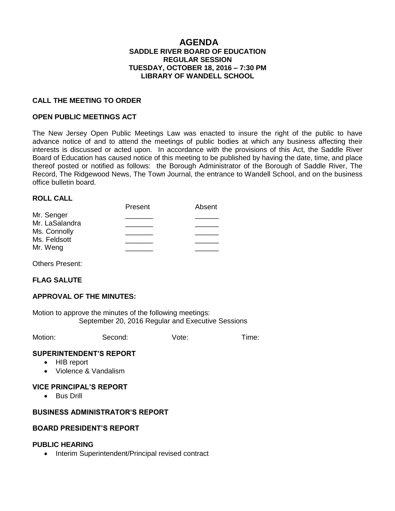### **AGENDA SADDLE RIVER BOARD OF EDUCATION REGULAR SESSION TUESDAY, OCTOBER 18, 2016 – 7:30 PM LIBRARY OF WANDELL SCHOOL**

#### **CALL THE MEETING TO ORDER**

#### **OPEN PUBLIC MEETINGS ACT**

The New Jersey Open Public Meetings Law was enacted to insure the right of the public to have advance notice of and to attend the meetings of public bodies at which any business affecting their interests is discussed or acted upon. In accordance with the provisions of this Act, the Saddle River Board of Education has caused notice of this meeting to be published by having the date, time, and place thereof posted or notified as follows: the Borough Administrator of the Borough of Saddle River, The Record, The Ridgewood News, The Town Journal, the entrance to Wandell School, and on the business office bulletin board.

#### **ROLL CALL**

|                | Present | Absent |
|----------------|---------|--------|
| Mr. Senger     |         |        |
| Mr. LaSalandra |         |        |
| Ms. Connolly   |         |        |
| Ms. Feldsott   |         |        |
| Mr. Weng       |         |        |

Others Present:

# **FLAG SALUTE**

#### **APPROVAL OF THE MINUTES:**

Motion to approve the minutes of the following meetings: September 20, 2016 Regular and Executive Sessions

Motion: Second: Vote: Time:

#### **SUPERINTENDENT'S REPORT**

- HIB report
- Violence & Vandalism

### **VICE PRINCIPAL'S REPORT**

• Bus Drill

### **BUSINESS ADMINISTRATOR'S REPORT**

#### **BOARD PRESIDENT'S REPORT**

#### **PUBLIC HEARING**

• Interim Superintendent/Principal revised contract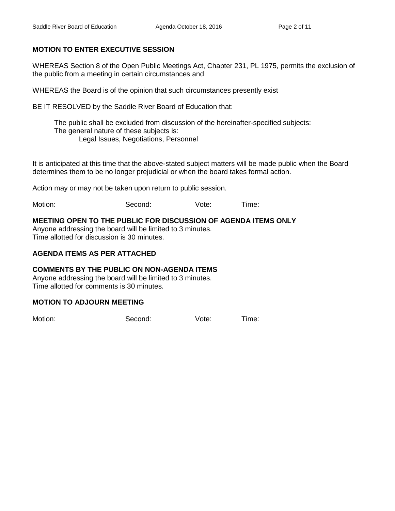# **MOTION TO ENTER EXECUTIVE SESSION**

WHEREAS Section 8 of the Open Public Meetings Act, Chapter 231, PL 1975, permits the exclusion of the public from a meeting in certain circumstances and

WHEREAS the Board is of the opinion that such circumstances presently exist

BE IT RESOLVED by the Saddle River Board of Education that:

 The public shall be excluded from discussion of the hereinafter-specified subjects: The general nature of these subjects is: Legal Issues, Negotiations, Personnel

It is anticipated at this time that the above-stated subject matters will be made public when the Board determines them to be no longer prejudicial or when the board takes formal action.

Action may or may not be taken upon return to public session.

Motion: Second: Vote: Time:

# **MEETING OPEN TO THE PUBLIC FOR DISCUSSION OF AGENDA ITEMS ONLY**

Anyone addressing the board will be limited to 3 minutes. Time allotted for discussion is 30 minutes.

# **AGENDA ITEMS AS PER ATTACHED**

# **COMMENTS BY THE PUBLIC ON NON-AGENDA ITEMS**

Anyone addressing the board will be limited to 3 minutes. Time allotted for comments is 30 minutes.

# **MOTION TO ADJOURN MEETING**

Motion: Second: Vote: Time: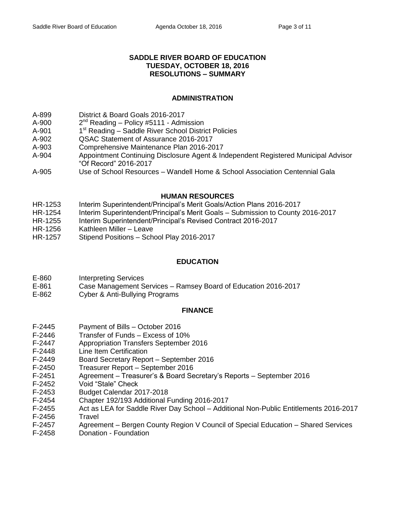### **SADDLE RIVER BOARD OF EDUCATION TUESDAY, OCTOBER 18, 2016 RESOLUTIONS – SUMMARY**

### **ADMINISTRATION**

- A-899 District & Board Goals 2016-2017
- $A 900$  $2^{nd}$  Reading – Policy #5111 - Admission
- $A-901$  $1<sup>st</sup>$  Reading – Saddle River School District Policies
- A-902 QSAC Statement of Assurance 2016-2017
- A-903 Comprehensive Maintenance Plan 2016-2017
- A-904 Appointment Continuing Disclosure Agent & Independent Registered Municipal Advisor "Of Record" 2016-2017
- A-905 Use of School Resources Wandell Home & School Association Centennial Gala

### **HUMAN RESOURCES**

- HR-1253 Interim Superintendent/Principal's Merit Goals/Action Plans 2016-2017
- HR-1254 Interim Superintendent/Principal's Merit Goals Submission to County 2016-2017
- HR-1255 Interim Superintendent/Principal's Revised Contract 2016-2017
- HR-1256 Kathleen Miller Leave
- HR-1257 Stipend Positions School Play 2016-2017

# **EDUCATION**

- E-860 Interpreting Services
- E-861 Case Management Services Ramsey Board of Education 2016-2017
- E-862 Cyber & Anti-Bullying Programs

# **FINANCE**

- F-2445 Payment of Bills October 2016
- F-2446 Transfer of Funds Excess of 10%
- F-2447 Appropriation Transfers September 2016
- F-2448 Line Item Certification
- F-2449 Board Secretary Report September 2016
- F-2450 Treasurer Report September 2016
- F-2451 Agreement Treasurer's & Board Secretary's Reports September 2016
- F-2452 Void "Stale" Check
- F-2453 Budget Calendar 2017-2018
- F-2454 Chapter 192/193 Additional Funding 2016-2017
- F-2455 Act as LEA for Saddle River Day School Additional Non-Public Entitlements 2016-2017 F-2456 Travel
- F-2457 Agreement Bergen County Region V Council of Special Education Shared Services
- F-2458 Donation Foundation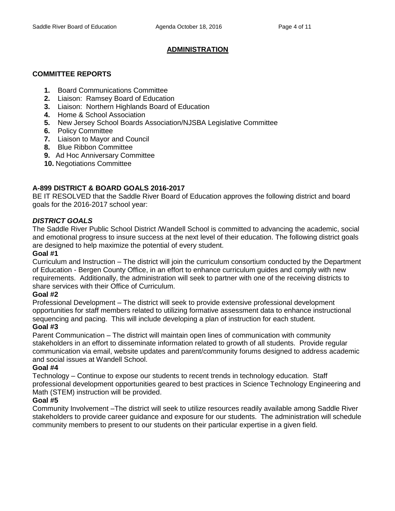# **ADMINISTRATION**

# **COMMITTEE REPORTS**

- **1.** Board Communications Committee
- **2.** Liaison: Ramsey Board of Education
- **3.** Liaison: Northern Highlands Board of Education
- **4.** Home & School Association
- **5.** New Jersey School Boards Association/NJSBA Legislative Committee
- **6.** Policy Committee
- **7.** Liaison to Mayor and Council
- **8.** Blue Ribbon Committee
- **9.** Ad Hoc Anniversary Committee
- **10.** Negotiations Committee

# **A-899 DISTRICT & BOARD GOALS 2016-2017**

BE IT RESOLVED that the Saddle River Board of Education approves the following district and board goals for the 2016-2017 school year:

# *DISTRICT GOALS*

The Saddle River Public School District /Wandell School is committed to advancing the academic, social and emotional progress to insure success at the next level of their education. The following district goals are designed to help maximize the potential of every student.

# **Goal #1**

Curriculum and Instruction – The district will join the curriculum consortium conducted by the Department of Education - Bergen County Office, in an effort to enhance curriculum guides and comply with new requirements. Additionally, the administration will seek to partner with one of the receiving districts to share services with their Office of Curriculum.

# **Goal #2**

Professional Development – The district will seek to provide extensive professional development opportunities for staff members related to utilizing formative assessment data to enhance instructional sequencing and pacing. This will include developing a plan of instruction for each student.

# **Goal #3**

Parent Communication – The district will maintain open lines of communication with community stakeholders in an effort to disseminate information related to growth of all students. Provide regular communication via email, website updates and parent/community forums designed to address academic and social issues at Wandell School.

# **Goal #4**

Technology – Continue to expose our students to recent trends in technology education. Staff professional development opportunities geared to best practices in Science Technology Engineering and Math (STEM) instruction will be provided.

# **Goal #5**

Community Involvement –The district will seek to utilize resources readily available among Saddle River stakeholders to provide career guidance and exposure for our students. The administration will schedule community members to present to our students on their particular expertise in a given field.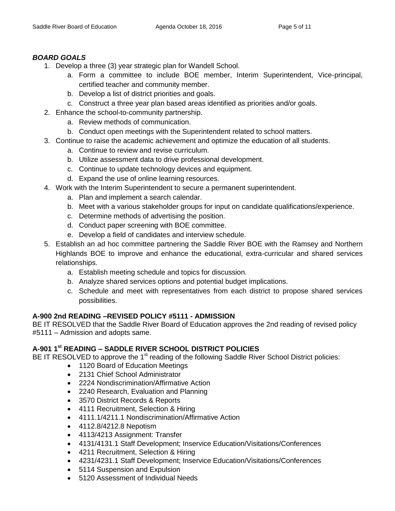# *BOARD GOALS*

- 1. Develop a three (3) year strategic plan for Wandell School.
	- a. Form a committee to include BOE member, Interim Superintendent, Vice-principal, certified teacher and community member.
	- b. Develop a list of district priorities and goals.
	- c. Construct a three year plan based areas identified as priorities and/or goals.
- 2. Enhance the school-to-community partnership.
	- a. Review methods of communication.
	- b. Conduct open meetings with the Superintendent related to school matters.
- 3. Continue to raise the academic achievement and optimize the education of all students.
	- a. Continue to review and revise curriculum.
	- b. Utilize assessment data to drive professional development.
	- c. Continue to update technology devices and equipment.
	- d. Expand the use of online learning resources.
- 4. Work with the Interim Superintendent to secure a permanent superintendent.
	- a. Plan and implement a search calendar.
	- b. Meet with a various stakeholder groups for input on candidate qualifications/experience.
	- c. Determine methods of advertising the position.
	- d. Conduct paper screening with BOE committee.
	- e. Develop a field of candidates and interview schedule.
- 5. Establish an ad hoc committee partnering the Saddle River BOE with the Ramsey and Northern Highlands BOE to improve and enhance the educational, extra-curricular and shared services relationships.
	- a. Establish meeting schedule and topics for discussion.
	- b. Analyze shared services options and potential budget implications.
	- c. Schedule and meet with representatives from each district to propose shared services possibilities.

# **A-900 2nd READING –REVISED POLICY #5111 - ADMISSION**

BE IT RESOLVED that the Saddle River Board of Education approves the 2nd reading of revised policy #5111 – Admission and adopts same.

# **A-901 1 st READING – SADDLE RIVER SCHOOL DISTRICT POLICIES**

BE IT RESOLVED to approve the 1<sup>st</sup> reading of the following Saddle River School District policies:

- 1120 Board of Education Meetings
- 2131 Chief School Administrator
- 2224 Nondiscrimination/Affirmative Action
- 2240 Research, Evaluation and Planning
- 3570 District Records & Reports
- 4111 Recruitment, Selection & Hiring
- 4111.1/4211.1 Nondiscrimination/Affirmative Action
- 4112.8/4212.8 Nepotism
- 4113/4213 Assignment: Transfer
- 4131/4131.1 Staff Development; Inservice Education/Visitations/Conferences
- 4211 Recruitment, Selection & Hiring
- 4231/4231.1 Staff Development; Inservice Education/Visitations/Conferences
- 5114 Suspension and Expulsion
- 5120 Assessment of Individual Needs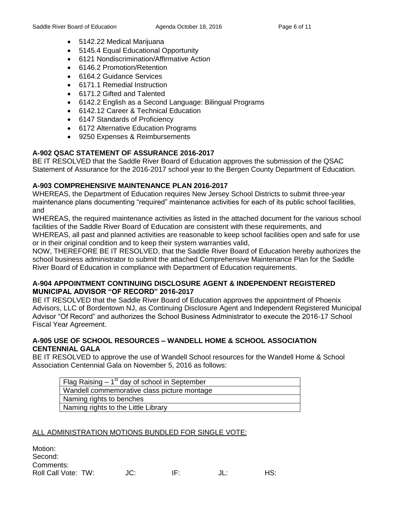- 5142.22 Medical Marijuana
- 5145.4 Equal Educational Opportunity
- 6121 Nondiscrimination/Affirmative Action
- 6146.2 Promotion/Retention
- 6164.2 Guidance Services
- 6171.1 Remedial Instruction
- 6171.2 Gifted and Talented
- 6142.2 English as a Second Language: Bilingual Programs
- 6142.12 Career & Technical Education
- 6147 Standards of Proficiency
- 6172 Alternative Education Programs
- 9250 Expenses & Reimbursements

# **A-902 QSAC STATEMENT OF ASSURANCE 2016-2017**

BE IT RESOLVED that the Saddle River Board of Education approves the submission of the QSAC Statement of Assurance for the 2016-2017 school year to the Bergen County Department of Education.

# **A-903 COMPREHENSIVE MAINTENANCE PLAN 2016-2017**

WHEREAS, the Department of Education requires New Jersey School Districts to submit three-year maintenance plans documenting "required" maintenance activities for each of its public school facilities, and

WHEREAS, the required maintenance activities as listed in the attached document for the various school facilities of the Saddle River Board of Education are consistent with these requirements, and WHEREAS, all past and planned activities are reasonable to keep school facilities open and safe for use or in their original condition and to keep their system warranties valid,

NOW, THEREFORE BE IT RESOLVED, that the Saddle River Board of Education hereby authorizes the school business administrator to submit the attached Comprehensive Maintenance Plan for the Saddle River Board of Education in compliance with Department of Education requirements.

# **A-904 APPOINTMENT CONTINUING DISCLOSURE AGENT & INDEPENDENT REGISTERED MUNICIPAL ADVISOR "OF RECORD" 2016-2017**

BE IT RESOLVED that the Saddle River Board of Education approves the appointment of Phoenix Advisors, LLC of Bordentown NJ, as Continuing Disclosure Agent and Independent Registered Municipal Advisor "Of Record" and authorizes the School Business Administrator to execute the 2016-17 School Fiscal Year Agreement.

# **A-905 USE OF SCHOOL RESOURCES – WANDELL HOME & SCHOOL ASSOCIATION CENTENNIAL GALA**

BE IT RESOLVED to approve the use of Wandell School resources for the Wandell Home & School Association Centennial Gala on November 5, 2016 as follows:

| Flag Raising $-1st$ day of school in September |
|------------------------------------------------|
| Wandell commemorative class picture montage    |
| Naming rights to benches                       |
| Naming rights to the Little Library            |

# ALL ADMINISTRATION MOTIONS BUNDLED FOR SINGLE VOTE:

| Motion:             |     |     |     |     |
|---------------------|-----|-----|-----|-----|
| Second:             |     |     |     |     |
| Comments:           |     |     |     |     |
| Roll Call Vote: TW: | JC: | IF. | JL: | HS: |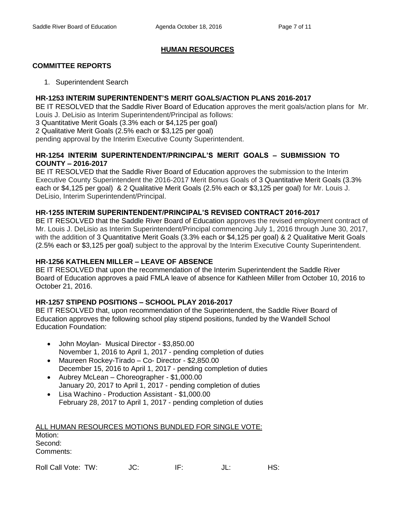# **HUMAN RESOURCES**

# **COMMITTEE REPORTS**

1. Superintendent Search

### **HR-1253 INTERIM SUPERINTENDENT'S MERIT GOALS/ACTION PLANS 2016-2017**

BE IT RESOLVED that the Saddle River Board of Education approves the merit goals/action plans for Mr. Louis J. DeLisio as Interim Superintendent/Principal as follows:

3 Quantitative Merit Goals (3.3% each or \$4,125 per goal)

2 Qualitative Merit Goals (2.5% each or \$3,125 per goal)

pending approval by the Interim Executive County Superintendent.

# **HR-1254 INTERIM SUPERINTENDENT/PRINCIPAL'S MERIT GOALS – SUBMISSION TO COUNTY – 2016-2017**

BE IT RESOLVED that the Saddle River Board of Education approves the submission to the Interim Executive County Superintendent the 2016-2017 Merit Bonus Goals of 3 Quantitative Merit Goals (3.3% each or \$4,125 per goal) & 2 Qualitative Merit Goals (2.5% each or \$3,125 per goal) for Mr. Louis J. DeLisio, Interim Superintendent/Principal.

# **HR-1255 INTERIM SUPERINTENDENT/PRINCIPAL'S REVISED CONTRACT 2016-2017**

BE IT RESOLVED that the Saddle River Board of Education approves the revised employment contract of Mr. Louis J. DeLisio as Interim Superintendent/Principal commencing July 1, 2016 through June 30, 2017, with the addition of 3 Quantitative Merit Goals (3.3% each or \$4,125 per goal) & 2 Qualitative Merit Goals (2.5% each or \$3,125 per goal) subject to the approval by the Interim Executive County Superintendent.

# **HR-1256 KATHLEEN MILLER – LEAVE OF ABSENCE**

BE IT RESOLVED that upon the recommendation of the Interim Superintendent the Saddle River Board of Education approves a paid FMLA leave of absence for Kathleen Miller from October 10, 2016 to October 21, 2016.

# **HR-1257 STIPEND POSITIONS – SCHOOL PLAY 2016-2017**

BE IT RESOLVED that, upon recommendation of the Superintendent, the Saddle River Board of Education approves the following school play stipend positions, funded by the Wandell School Education Foundation:

- John Moylan- Musical Director \$3,850.00 November 1, 2016 to April 1, 2017 - pending completion of duties
- Maureen Rockey-Tirado Co- Director \$2,850.00 December 15, 2016 to April 1, 2017 - pending completion of duties
- Aubrey McLean Choreographer \$1,000.00 January 20, 2017 to April 1, 2017 - pending completion of duties
- Lisa Wachino Production Assistant \$1,000.00 February 28, 2017 to April 1, 2017 - pending completion of duties

| ALL HUMAN RESOURCES MOTIONS BUNDLED FOR SINGLE VOTE: |
|------------------------------------------------------|
| Motion:                                              |
| Second:                                              |
| Comments:                                            |
|                                                      |

Roll Call Vote: TW:  $JC$ : IF:  $JL$ : HS: HS: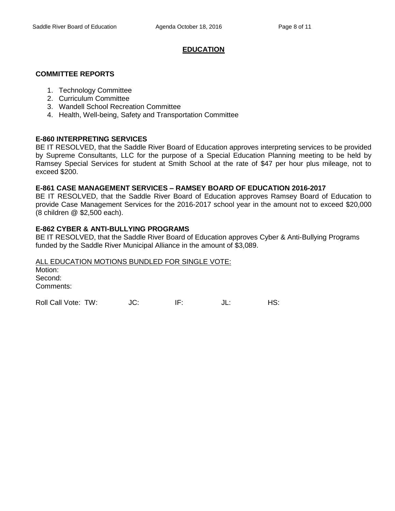# **EDUCATION**

### **COMMITTEE REPORTS**

- 1. Technology Committee
- 2. Curriculum Committee
- 3. Wandell School Recreation Committee
- 4. Health, Well-being, Safety and Transportation Committee

### **E-860 INTERPRETING SERVICES**

BE IT RESOLVED, that the Saddle River Board of Education approves interpreting services to be provided by Supreme Consultants, LLC for the purpose of a Special Education Planning meeting to be held by Ramsey Special Services for student at Smith School at the rate of \$47 per hour plus mileage, not to exceed \$200.

### **E-861 CASE MANAGEMENT SERVICES – RAMSEY BOARD OF EDUCATION 2016-2017**

BE IT RESOLVED, that the Saddle River Board of Education approves Ramsey Board of Education to provide Case Management Services for the 2016-2017 school year in the amount not to exceed \$20,000 (8 children @ \$2,500 each).

### **E-862 CYBER & ANTI-BULLYING PROGRAMS**

BE IT RESOLVED, that the Saddle River Board of Education approves Cyber & Anti-Bullying Programs funded by the Saddle River Municipal Alliance in the amount of \$3,089.

# ALL EDUCATION MOTIONS BUNDLED FOR SINGLE VOTE: Motion: Second: Comments:

Roll Call Vote: TW:  $JC$ : IF: JL: HS: HS: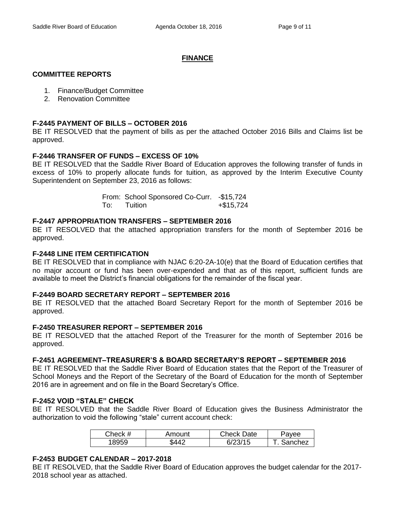# **FINANCE**

#### **COMMITTEE REPORTS**

- 1. Finance/Budget Committee
- 2. Renovation Committee

### **F-2445 PAYMENT OF BILLS – OCTOBER 2016**

BE IT RESOLVED that the payment of bills as per the attached October 2016 Bills and Claims list be approved.

### **F-2446 TRANSFER OF FUNDS – EXCESS OF 10%**

BE IT RESOLVED that the Saddle River Board of Education approves the following transfer of funds in excess of 10% to properly allocate funds for tuition, as approved by the Interim Executive County Superintendent on September 23, 2016 as follows:

|     | From: School Sponsored Co-Curr. - \$15,724 |           |
|-----|--------------------------------------------|-----------|
| To: | Tuition                                    | +\$15,724 |

### **F-2447 APPROPRIATION TRANSFERS – SEPTEMBER 2016**

BE IT RESOLVED that the attached appropriation transfers for the month of September 2016 be approved.

### **F-2448 LINE ITEM CERTIFICATION**

BE IT RESOLVED that in compliance with NJAC 6:20-2A-10(e) that the Board of Education certifies that no major account or fund has been over-expended and that as of this report, sufficient funds are available to meet the District's financial obligations for the remainder of the fiscal year.

#### **F-2449 BOARD SECRETARY REPORT – SEPTEMBER 2016**

BE IT RESOLVED that the attached Board Secretary Report for the month of September 2016 be approved.

#### **F-2450 TREASURER REPORT – SEPTEMBER 2016**

BE IT RESOLVED that the attached Report of the Treasurer for the month of September 2016 be approved.

#### **F-2451 AGREEMENT–TREASURER'S & BOARD SECRETARY'S REPORT – SEPTEMBER 2016**

BE IT RESOLVED that the Saddle River Board of Education states that the Report of the Treasurer of School Moneys and the Report of the Secretary of the Board of Education for the month of September 2016 are in agreement and on file in the Board Secretary's Office.

# **F-2452 VOID "STALE" CHECK**

BE IT RESOLVED that the Saddle River Board of Education gives the Business Administrator the authorization to void the following "stale" current account check:

| Check # | Amount       | Check Date  | 'avee   |
|---------|--------------|-------------|---------|
| 18959   | ى <i>44.</i> | /15<br>6/23 | Sanchez |

#### **F-2453 BUDGET CALENDAR – 2017-2018**

BE IT RESOLVED, that the Saddle River Board of Education approves the budget calendar for the 2017- 2018 school year as attached.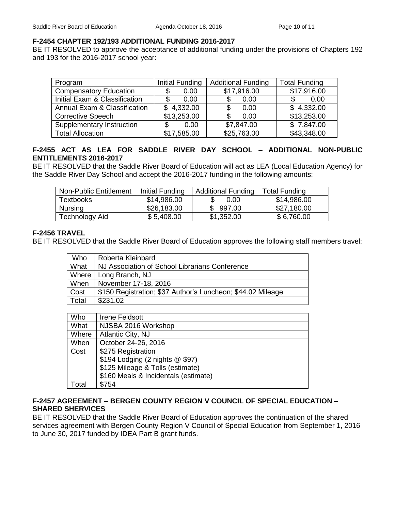### **F-2454 CHAPTER 192/193 ADDITIONAL FUNDING 2016-2017**

BE IT RESOLVED to approve the acceptance of additional funding under the provisions of Chapters 192 and 193 for the 2016-2017 school year:

| Program                                 | Initial Funding | <b>Additional Funding</b> | <b>Total Funding</b> |
|-----------------------------------------|-----------------|---------------------------|----------------------|
| <b>Compensatory Education</b>           | 0.00<br>S       | \$17,916.00               | \$17,916.00          |
| Initial Exam & Classification           | 0.00            | 0.00                      | 0.00<br>\$.          |
| <b>Annual Exam &amp; Classification</b> | \$4,332.00      | 0.00                      | \$4,332.00           |
| <b>Corrective Speech</b>                | \$13,253.00     | 0.00                      | \$13,253.00          |
| Supplementary Instruction               | 0.00<br>S       | \$7,847.00                | \$7,847.00           |
| <b>Total Allocation</b>                 | \$17,585.00     | \$25,763.00               | \$43,348.00          |

# **F-2455 ACT AS LEA FOR SADDLE RIVER DAY SCHOOL – ADDITIONAL NON-PUBLIC ENTITLEMENTS 2016-2017**

BE IT RESOLVED that the Saddle River Board of Education will act as LEA (Local Education Agency) for the Saddle River Day School and accept the 2016-2017 funding in the following amounts:

| <b>Non-Public Entitlement</b> | Initial Funding | <b>Additional Funding</b> | <b>Total Funding</b> |
|-------------------------------|-----------------|---------------------------|----------------------|
| Textbooks                     | \$14,986.00     | 0.00                      | \$14,986.00          |
| <b>Nursing</b>                | \$26,183.00     | 997.00                    | \$27,180.00          |
| Technology Aid                | \$5,408.00      | \$1,352.00                | \$6,760.00           |

### **F-2456 TRAVEL**

BE IT RESOLVED that the Saddle River Board of Education approves the following staff members travel:

| Who   | Roberta Kleinbard                                           |
|-------|-------------------------------------------------------------|
| What  | NJ Association of School Librarians Conference              |
| Where | Long Branch, NJ                                             |
| When  | November 17-18, 2016                                        |
| Cost  | \$150 Registration; \$37 Author's Luncheon; \$44.02 Mileage |
| Total | \$231.02                                                    |

| Who   | <b>Irene Feldsott</b>                |
|-------|--------------------------------------|
| What  | NJSBA 2016 Workshop                  |
| Where | Atlantic City, NJ                    |
| When  | October 24-26, 2016                  |
| Cost  | \$275 Registration                   |
|       | \$194 Lodging (2 nights @ \$97)      |
|       | \$125 Mileage & Tolls (estimate)     |
|       | \$160 Meals & Incidentals (estimate) |
| Total | \$754                                |

### **F-2457 AGREEMENT – BERGEN COUNTY REGION V COUNCIL OF SPECIAL EDUCATION – SHARED SHERVICES**

BE IT RESOLVED that the Saddle River Board of Education approves the continuation of the shared services agreement with Bergen County Region V Council of Special Education from September 1, 2016 to June 30, 2017 funded by IDEA Part B grant funds.